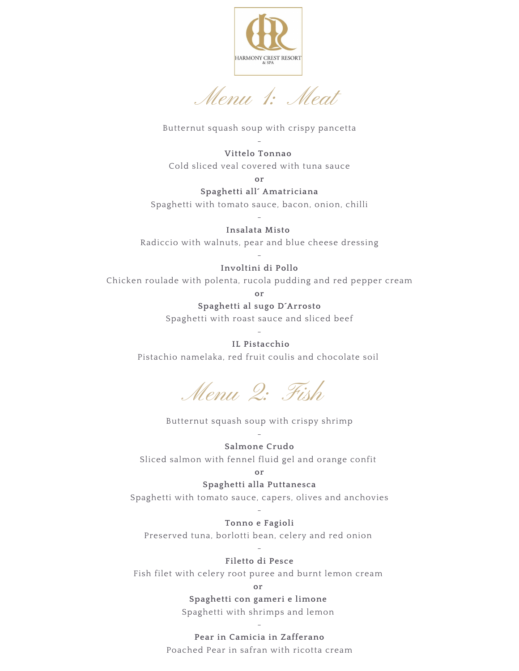

Menu 1: Meat

### Butternut squash soup with crispy pancetta

#### - **Vittelo Tonnao**

Cold sliced veal covered with tuna sauce

**or**

#### **Spaghetti all´ Amatriciana**

Spaghetti with tomato sauce, bacon, onion, chilli -

**Insalata Misto** Radiccio with walnuts, pear and blue cheese dressing

#### - **Involtini di Pollo**

Chicken roulade with polenta, rucola pudding and red pepper cream

**or**

### **Spaghetti al sugo D´Arrosto**

Spaghetti with roast sauce and sliced beef

### - **IL Pistacchio**

Pistachio namelaka, red fruit coulis and chocolate soil

Menu 2: Fish

## Butternut squash soup with crispy shrimp

### - **Salmone Crudo**

Sliced salmon with fennel fluid gel and orange confit

# **or**

### **Spaghetti alla Puttanesca**

Spaghetti with tomato sauce, capers, olives and anchovies

#### - **Tonno e Fagioli**

Preserved tuna, borlotti bean, celery and red onion

### - **Filetto di Pesce**

Fish filet with celery root puree and burnt lemon cream

**or**

**Spaghetti con gameri e limone** Spaghetti with shrimps and lemon

- **Pear in Camicia in Zafferano**

Poached Pear in safran with ricotta cream